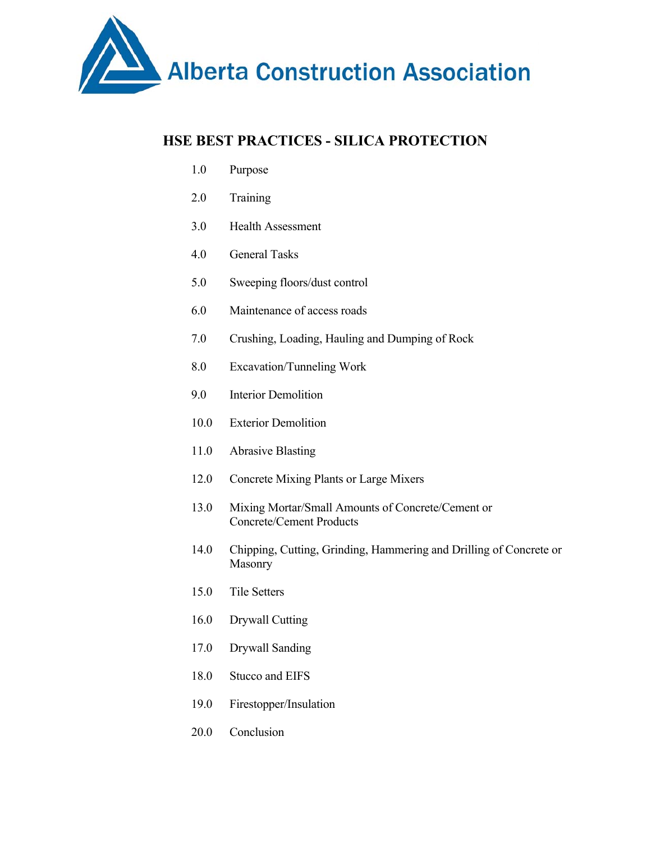

# **HSE BEST PRACTICES - SILICA PROTECTION**

- 1.0 Purpose
- 2.0 Training
- 3.0 Health Assessment
- 4.0 General Tasks
- 5.0 Sweeping floors/dust control
- 6.0 Maintenance of access roads
- 7.0 Crushing, Loading, Hauling and Dumping of Rock
- 8.0 Excavation/Tunneling Work
- 9.0 Interior Demolition
- 10.0 Exterior Demolition
- 11.0 Abrasive Blasting
- 12.0 Concrete Mixing Plants or Large Mixers
- 13.0 Mixing Mortar/Small Amounts of Concrete/Cement or Concrete/Cement Products
- 14.0 Chipping, Cutting, Grinding, Hammering and Drilling of Concrete or Masonry
- 15.0 Tile Setters
- 16.0 Drywall Cutting
- 17.0 Drywall Sanding
- 18.0 Stucco and EIFS
- 19.0 Firestopper/Insulation
- 20.0 Conclusion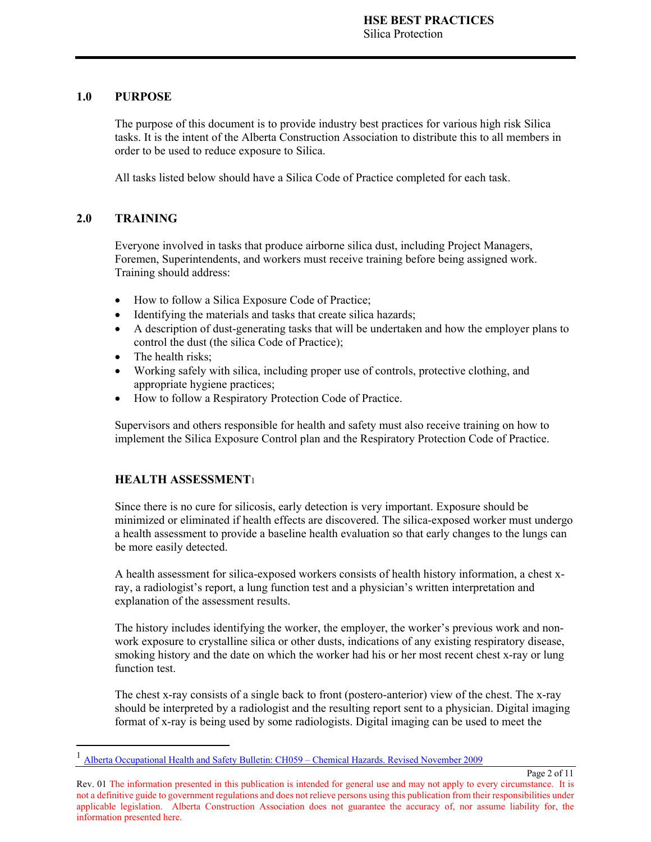#### **1.0 PURPOSE**

The purpose of this document is to provide industry best practices for various high risk Silica tasks. It is the intent of the Alberta Construction Association to distribute this to all members in order to be used to reduce exposure to Silica.

All tasks listed below should have a Silica Code of Practice completed for each task.

### **2.0 TRAINING**

 $\overline{a}$ 

Everyone involved in tasks that produce airborne silica dust, including Project Managers, Foremen, Superintendents, and workers must receive training before being assigned work. Training should address:

- How to follow a Silica Exposure Code of Practice;
- Identifying the materials and tasks that create silica hazards;
- A description of dust-generating tasks that will be undertaken and how the employer plans to control the dust (the silica Code of Practice);
- The health risks;
- Working safely with silica, including proper use of controls, protective clothing, and appropriate hygiene practices;
- How to follow a Respiratory Protection Code of Practice.

Supervisors and others responsible for health and safety must also receive training on how to implement the Silica Exposure Control plan and the Respiratory Protection Code of Practice.

### **HEALTH ASSESSMENT**<sup>1</sup>

Since there is no cure for silicosis, early detection is very important. Exposure should be minimized or eliminated if health effects are discovered. The silica-exposed worker must undergo a health assessment to provide a baseline health evaluation so that early changes to the lungs can be more easily detected.

A health assessment for silica-exposed workers consists of health history information, a chest xray, a radiologist's report, a lung function test and a physician's written interpretation and explanation of the assessment results.

The history includes identifying the worker, the employer, the worker's previous work and nonwork exposure to crystalline silica or other dusts, indications of any existing respiratory disease, smoking history and the date on which the worker had his or her most recent chest x-ray or lung function test.

The chest x-ray consists of a single back to front (postero-anterior) view of the chest. The x-ray should be interpreted by a radiologist and the resulting report sent to a physician. Digital imaging format of x-ray is being used by some radiologists. Digital imaging can be used to meet the

Page 2 of 11

<sup>&</sup>lt;sup>1</sup> Alberta Occupational Health and Safety Bulletin: CH059 – Chemical Hazards. Revised November 2009

Rev. 01 The information presented in this publication is intended for general use and may not apply to every circumstance. It is not a definitive guide to government regulations and does not relieve persons using this publication from their responsibilities under applicable legislation. Alberta Construction Association does not guarantee the accuracy of, nor assume liability for, the information presented here.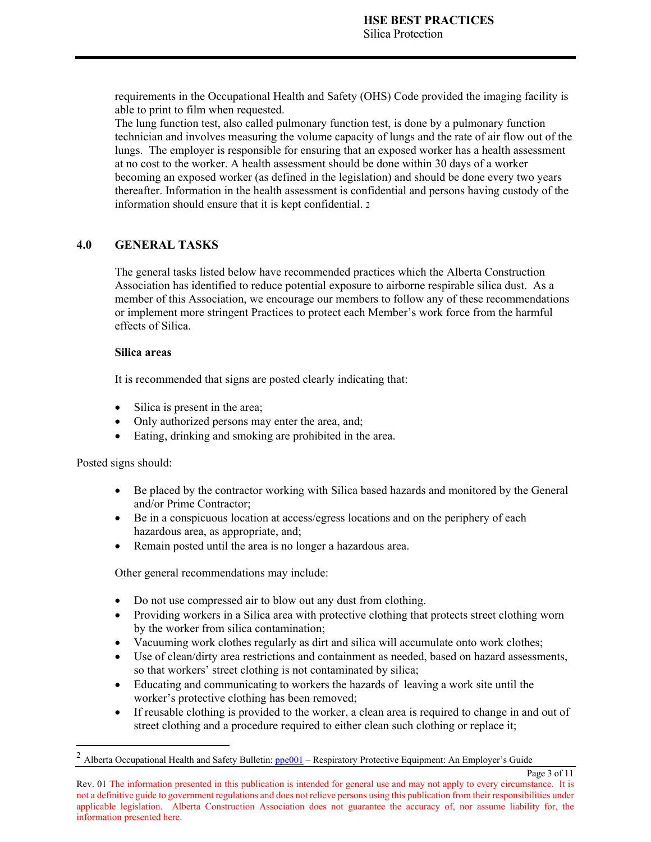requirements in the Occupational Health and Safety (OHS) Code provided the imaging facility is able to print to film when requested.

The lung function test, also called pulmonary function test, is done by a pulmonary function technician and involves measuring the volume capacity of lungs and the rate of air flow out of the lungs. The employer is responsible for ensuring that an exposed worker has a health assessment at no cost to the worker. A health assessment should be done within 30 days of a worker becoming an exposed worker (as defined in the legislation) and should be done every two years thereafter. Information in the health assessment is confidential and persons having custody of the information should ensure that it is kept confidential. 2

#### **4.0 GENERAL TASKS**

The general tasks listed below have recommended practices which the Alberta Construction Association has identified to reduce potential exposure to airborne respirable silica dust. As a member of this Association, we encourage our members to follow any of these recommendations or implement more stringent Practices to protect each Member's work force from the harmful effects of Silica.

#### **Silica areas**

It is recommended that signs are posted clearly indicating that:

- Silica is present in the area;
- Only authorized persons may enter the area, and;
- Eating, drinking and smoking are prohibited in the area.

Posted signs should:

 $\overline{a}$ 

- Be placed by the contractor working with Silica based hazards and monitored by the General and/or Prime Contractor;
- Be in a conspicuous location at access/egress locations and on the periphery of each hazardous area, as appropriate, and;
- Remain posted until the area is no longer a hazardous area.

Other general recommendations may include:

- Do not use compressed air to blow out any dust from clothing.
- Providing workers in a Silica area with protective clothing that protects street clothing worn by the worker from silica contamination;
- Vacuuming work clothes regularly as dirt and silica will accumulate onto work clothes;
- Use of clean/dirty area restrictions and containment as needed, based on hazard assessments, so that workers' street clothing is not contaminated by silica;
- Educating and communicating to workers the hazards of leaving a work site until the worker's protective clothing has been removed;
- If reusable clothing is provided to the worker, a clean area is required to change in and out of street clothing and a procedure required to either clean such clothing or replace it;

Page 3 of 11

 $2$  Alberta Occupational Health and Safety Bulletin:  $ppe001$  – Respiratory Protective Equipment: An Employer's Guide

Rev. 01 The information presented in this publication is intended for general use and may not apply to every circumstance. It is not a definitive guide to government regulations and does not relieve persons using this publication from their responsibilities under applicable legislation. Alberta Construction Association does not guarantee the accuracy of, nor assume liability for, the information presented here.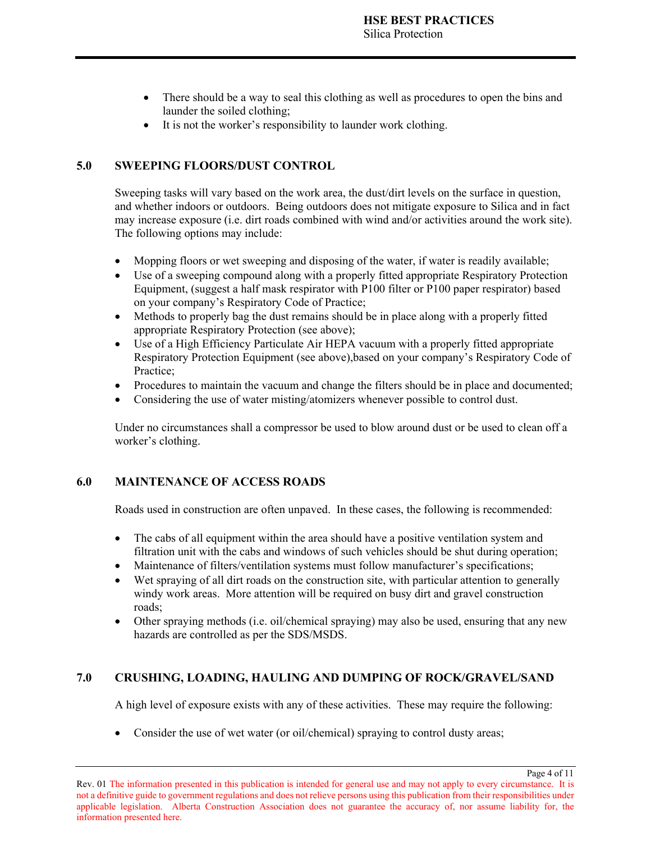- There should be a way to seal this clothing as well as procedures to open the bins and launder the soiled clothing;
- It is not the worker's responsibility to launder work clothing.

#### **5.0 SWEEPING FLOORS/DUST CONTROL**

Sweeping tasks will vary based on the work area, the dust/dirt levels on the surface in question, and whether indoors or outdoors. Being outdoors does not mitigate exposure to Silica and in fact may increase exposure (i.e. dirt roads combined with wind and/or activities around the work site). The following options may include:

- Mopping floors or wet sweeping and disposing of the water, if water is readily available;
- Use of a sweeping compound along with a properly fitted appropriate Respiratory Protection Equipment, (suggest a half mask respirator with P100 filter or P100 paper respirator) based on your company's Respiratory Code of Practice;
- Methods to properly bag the dust remains should be in place along with a properly fitted appropriate Respiratory Protection (see above);
- Use of a High Efficiency Particulate Air HEPA vacuum with a properly fitted appropriate Respiratory Protection Equipment (see above),based on your company's Respiratory Code of Practice;
- Procedures to maintain the vacuum and change the filters should be in place and documented;
- Considering the use of water misting/atomizers whenever possible to control dust.

Under no circumstances shall a compressor be used to blow around dust or be used to clean off a worker's clothing.

#### **6.0 MAINTENANCE OF ACCESS ROADS**

Roads used in construction are often unpaved. In these cases, the following is recommended:

- The cabs of all equipment within the area should have a positive ventilation system and filtration unit with the cabs and windows of such vehicles should be shut during operation;
- Maintenance of filters/ventilation systems must follow manufacturer's specifications;
- Wet spraying of all dirt roads on the construction site, with particular attention to generally windy work areas. More attention will be required on busy dirt and gravel construction roads;
- Other spraying methods (i.e. oil/chemical spraying) may also be used, ensuring that any new hazards are controlled as per the SDS/MSDS.

### **7.0 CRUSHING, LOADING, HAULING AND DUMPING OF ROCK/GRAVEL/SAND**

A high level of exposure exists with any of these activities. These may require the following:

Page 4 of 11

• Consider the use of wet water (or oil/chemical) spraying to control dusty areas;

Rev. 01 The information presented in this publication is intended for general use and may not apply to every circumstance. It is not a definitive guide to government regulations and does not relieve persons using this publication from their responsibilities under applicable legislation. Alberta Construction Association does not guarantee the accuracy of, nor assume liability for, the information presented here.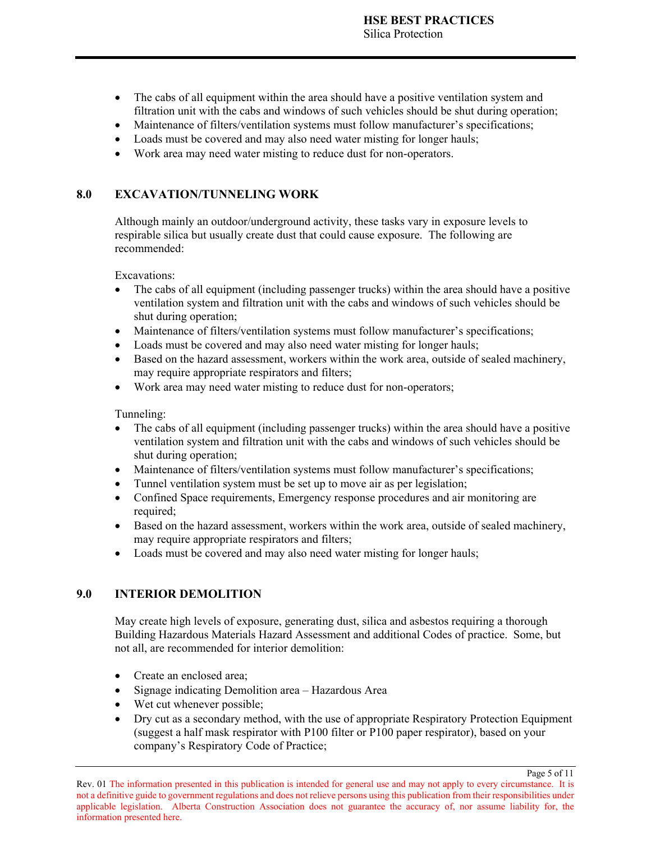- The cabs of all equipment within the area should have a positive ventilation system and filtration unit with the cabs and windows of such vehicles should be shut during operation;
- Maintenance of filters/ventilation systems must follow manufacturer's specifications;
- Loads must be covered and may also need water misting for longer hauls;
- Work area may need water misting to reduce dust for non-operators.

#### **8.0 EXCAVATION/TUNNELING WORK**

Although mainly an outdoor/underground activity, these tasks vary in exposure levels to respirable silica but usually create dust that could cause exposure. The following are recommended:

Excavations:

- The cabs of all equipment (including passenger trucks) within the area should have a positive ventilation system and filtration unit with the cabs and windows of such vehicles should be shut during operation;
- Maintenance of filters/ventilation systems must follow manufacturer's specifications;
- Loads must be covered and may also need water misting for longer hauls;
- Based on the hazard assessment, workers within the work area, outside of sealed machinery, may require appropriate respirators and filters;
- Work area may need water misting to reduce dust for non-operators;

Tunneling:

- The cabs of all equipment (including passenger trucks) within the area should have a positive ventilation system and filtration unit with the cabs and windows of such vehicles should be shut during operation;
- Maintenance of filters/ventilation systems must follow manufacturer's specifications;
- Tunnel ventilation system must be set up to move air as per legislation;
- Confined Space requirements, Emergency response procedures and air monitoring are required;
- Based on the hazard assessment, workers within the work area, outside of sealed machinery, may require appropriate respirators and filters;
- Loads must be covered and may also need water misting for longer hauls;

#### **9.0 INTERIOR DEMOLITION**

May create high levels of exposure, generating dust, silica and asbestos requiring a thorough Building Hazardous Materials Hazard Assessment and additional Codes of practice. Some, but not all, are recommended for interior demolition:

- Create an enclosed area;
- Signage indicating Demolition area Hazardous Area
- Wet cut whenever possible;
- Dry cut as a secondary method, with the use of appropriate Respiratory Protection Equipment (suggest a half mask respirator with P100 filter or P100 paper respirator), based on your company's Respiratory Code of Practice;

Page 5 of 11

Rev. 01 The information presented in this publication is intended for general use and may not apply to every circumstance. It is not a definitive guide to government regulations and does not relieve persons using this publication from their responsibilities under applicable legislation. Alberta Construction Association does not guarantee the accuracy of, nor assume liability for, the information presented here.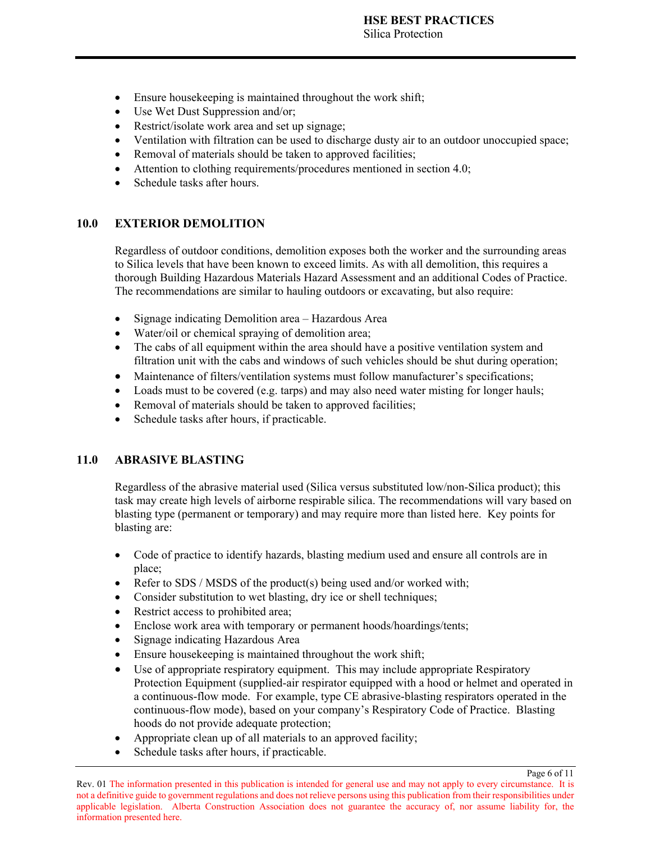- Ensure housekeeping is maintained throughout the work shift;
- Use Wet Dust Suppression and/or;
- Restrict/isolate work area and set up signage;
- Ventilation with filtration can be used to discharge dusty air to an outdoor unoccupied space;
- Removal of materials should be taken to approved facilities;
- Attention to clothing requirements/procedures mentioned in section 4.0;
- Schedule tasks after hours.

#### **10.0 EXTERIOR DEMOLITION**

Regardless of outdoor conditions, demolition exposes both the worker and the surrounding areas to Silica levels that have been known to exceed limits. As with all demolition, this requires a thorough Building Hazardous Materials Hazard Assessment and an additional Codes of Practice. The recommendations are similar to hauling outdoors or excavating, but also require:

- Signage indicating Demolition area Hazardous Area
- Water/oil or chemical spraying of demolition area;
- The cabs of all equipment within the area should have a positive ventilation system and filtration unit with the cabs and windows of such vehicles should be shut during operation;
- Maintenance of filters/ventilation systems must follow manufacturer's specifications;
- Loads must to be covered (e.g. tarps) and may also need water misting for longer hauls;
- Removal of materials should be taken to approved facilities;
- Schedule tasks after hours, if practicable.

### **11.0 ABRASIVE BLASTING**

Regardless of the abrasive material used (Silica versus substituted low/non-Silica product); this task may create high levels of airborne respirable silica. The recommendations will vary based on blasting type (permanent or temporary) and may require more than listed here. Key points for blasting are:

- Code of practice to identify hazards, blasting medium used and ensure all controls are in place;
- Refer to SDS / MSDS of the product(s) being used and/or worked with;
- Consider substitution to wet blasting, dry ice or shell techniques;
- Restrict access to prohibited area;
- Enclose work area with temporary or permanent hoods/hoardings/tents;
- Signage indicating Hazardous Area
- Ensure housekeeping is maintained throughout the work shift;
- Use of appropriate respiratory equipment. This may include appropriate Respiratory Protection Equipment (supplied-air respirator equipped with a hood or helmet and operated in a continuous-flow mode. For example, type CE abrasive-blasting respirators operated in the continuous-flow mode), based on your company's Respiratory Code of Practice. Blasting hoods do not provide adequate protection;
- Appropriate clean up of all materials to an approved facility;
- Schedule tasks after hours, if practicable.

Page 6 of 11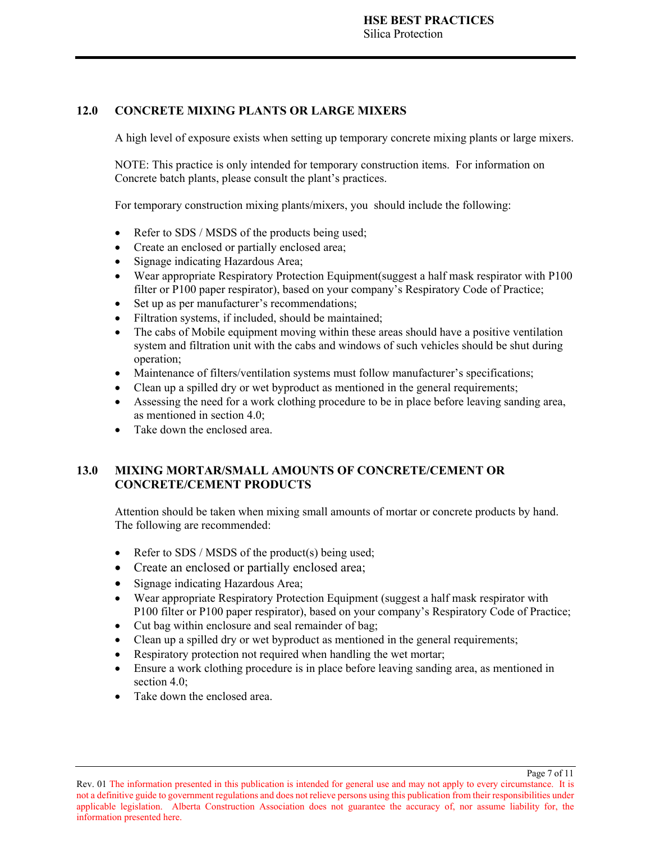### **12.0 CONCRETE MIXING PLANTS OR LARGE MIXERS**

A high level of exposure exists when setting up temporary concrete mixing plants or large mixers.

NOTE: This practice is only intended for temporary construction items. For information on Concrete batch plants, please consult the plant's practices.

For temporary construction mixing plants/mixers, you should include the following:

- Refer to SDS / MSDS of the products being used;
- Create an enclosed or partially enclosed area;
- Signage indicating Hazardous Area;
- Wear appropriate Respiratory Protection Equipment(suggest a half mask respirator with P100 filter or P100 paper respirator), based on your company's Respiratory Code of Practice;
- Set up as per manufacturer's recommendations;
- Filtration systems, if included, should be maintained;
- The cabs of Mobile equipment moving within these areas should have a positive ventilation system and filtration unit with the cabs and windows of such vehicles should be shut during operation;
- Maintenance of filters/ventilation systems must follow manufacturer's specifications;
- Clean up a spilled dry or wet byproduct as mentioned in the general requirements;
- Assessing the need for a work clothing procedure to be in place before leaving sanding area, as mentioned in section 4.0;
- Take down the enclosed area.

## **13.0 MIXING MORTAR/SMALL AMOUNTS OF CONCRETE/CEMENT OR CONCRETE/CEMENT PRODUCTS**

Attention should be taken when mixing small amounts of mortar or concrete products by hand. The following are recommended:

- Refer to SDS / MSDS of the product(s) being used;
- Create an enclosed or partially enclosed area;
- Signage indicating Hazardous Area;
- Wear appropriate Respiratory Protection Equipment (suggest a half mask respirator with P100 filter or P100 paper respirator), based on your company's Respiratory Code of Practice;
- Cut bag within enclosure and seal remainder of bag;
- Clean up a spilled dry or wet byproduct as mentioned in the general requirements;
- Respiratory protection not required when handling the wet mortar;
- Ensure a work clothing procedure is in place before leaving sanding area, as mentioned in section 4.0:
- Take down the enclosed area.

Page 7 of 11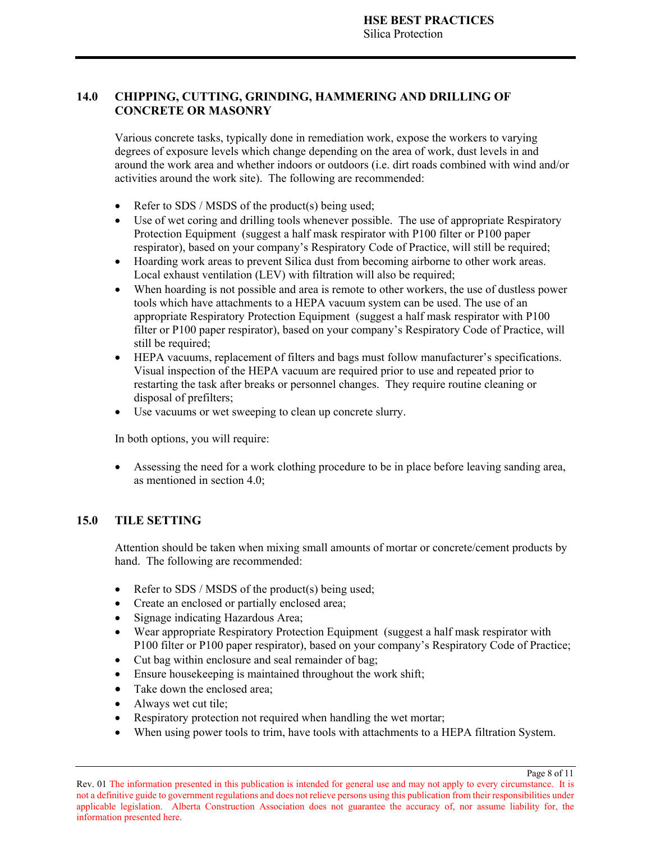### **14.0 CHIPPING, CUTTING, GRINDING, HAMMERING AND DRILLING OF CONCRETE OR MASONRY**

Various concrete tasks, typically done in remediation work, expose the workers to varying degrees of exposure levels which change depending on the area of work, dust levels in and around the work area and whether indoors or outdoors (i.e. dirt roads combined with wind and/or activities around the work site). The following are recommended:

- Refer to SDS / MSDS of the product(s) being used;
- Use of wet coring and drilling tools whenever possible. The use of appropriate Respiratory Protection Equipment (suggest a half mask respirator with P100 filter or P100 paper respirator), based on your company's Respiratory Code of Practice, will still be required;
- Hoarding work areas to prevent Silica dust from becoming airborne to other work areas. Local exhaust ventilation (LEV) with filtration will also be required;
- When hoarding is not possible and area is remote to other workers, the use of dustless power tools which have attachments to a HEPA vacuum system can be used. The use of an appropriate Respiratory Protection Equipment (suggest a half mask respirator with P100 filter or P100 paper respirator), based on your company's Respiratory Code of Practice, will still be required;
- HEPA vacuums, replacement of filters and bags must follow manufacturer's specifications. Visual inspection of the HEPA vacuum are required prior to use and repeated prior to restarting the task after breaks or personnel changes. They require routine cleaning or disposal of prefilters;
- Use vacuums or wet sweeping to clean up concrete slurry.

In both options, you will require:

 Assessing the need for a work clothing procedure to be in place before leaving sanding area, as mentioned in section 4.0;

### **15.0 TILE SETTING**

Attention should be taken when mixing small amounts of mortar or concrete/cement products by hand. The following are recommended:

- Refer to SDS / MSDS of the product(s) being used;
- Create an enclosed or partially enclosed area;
- Signage indicating Hazardous Area;
- Wear appropriate Respiratory Protection Equipment (suggest a half mask respirator with P100 filter or P100 paper respirator), based on your company's Respiratory Code of Practice;
- Cut bag within enclosure and seal remainder of bag;
- Ensure housekeeping is maintained throughout the work shift;
- Take down the enclosed area;
- Always wet cut tile;
- Respiratory protection not required when handling the wet mortar;
- When using power tools to trim, have tools with attachments to a HEPA filtration System.

Page 8 of 11

Rev. 01 The information presented in this publication is intended for general use and may not apply to every circumstance. It is not a definitive guide to government regulations and does not relieve persons using this publication from their responsibilities under applicable legislation. Alberta Construction Association does not guarantee the accuracy of, nor assume liability for, the information presented here.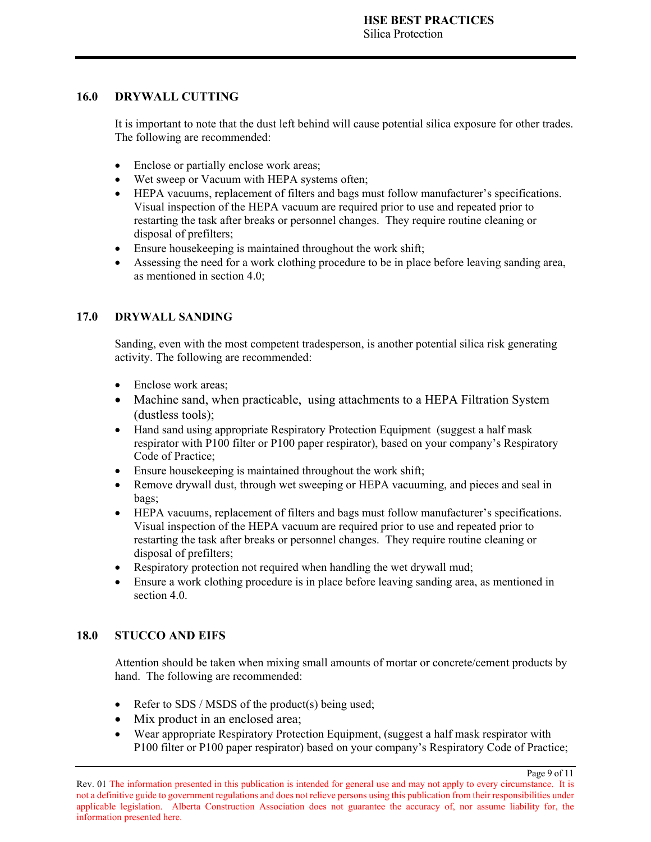### **16.0 DRYWALL CUTTING**

It is important to note that the dust left behind will cause potential silica exposure for other trades. The following are recommended:

- Enclose or partially enclose work areas;
- Wet sweep or Vacuum with HEPA systems often;
- HEPA vacuums, replacement of filters and bags must follow manufacturer's specifications. Visual inspection of the HEPA vacuum are required prior to use and repeated prior to restarting the task after breaks or personnel changes. They require routine cleaning or disposal of prefilters;
- Ensure housekeeping is maintained throughout the work shift;
- Assessing the need for a work clothing procedure to be in place before leaving sanding area, as mentioned in section 4.0;

### **17.0 DRYWALL SANDING**

Sanding, even with the most competent tradesperson, is another potential silica risk generating activity. The following are recommended:

- Enclose work areas;
- Machine sand, when practicable, using attachments to a HEPA Filtration System (dustless tools);
- Hand sand using appropriate Respiratory Protection Equipment (suggest a half mask respirator with P100 filter or P100 paper respirator), based on your company's Respiratory Code of Practice;
- Ensure housekeeping is maintained throughout the work shift;
- Remove drywall dust, through wet sweeping or HEPA vacuuming, and pieces and seal in bags;
- HEPA vacuums, replacement of filters and bags must follow manufacturer's specifications. Visual inspection of the HEPA vacuum are required prior to use and repeated prior to restarting the task after breaks or personnel changes. They require routine cleaning or disposal of prefilters;
- Respiratory protection not required when handling the wet drywall mud;
- Ensure a work clothing procedure is in place before leaving sanding area, as mentioned in section 4.0.

### **18.0 STUCCO AND EIFS**

Attention should be taken when mixing small amounts of mortar or concrete/cement products by hand. The following are recommended:

- Refer to SDS / MSDS of the product(s) being used;
- Mix product in an enclosed area;
- Wear appropriate Respiratory Protection Equipment, (suggest a half mask respirator with P100 filter or P100 paper respirator) based on your company's Respiratory Code of Practice;

Page 9 of 11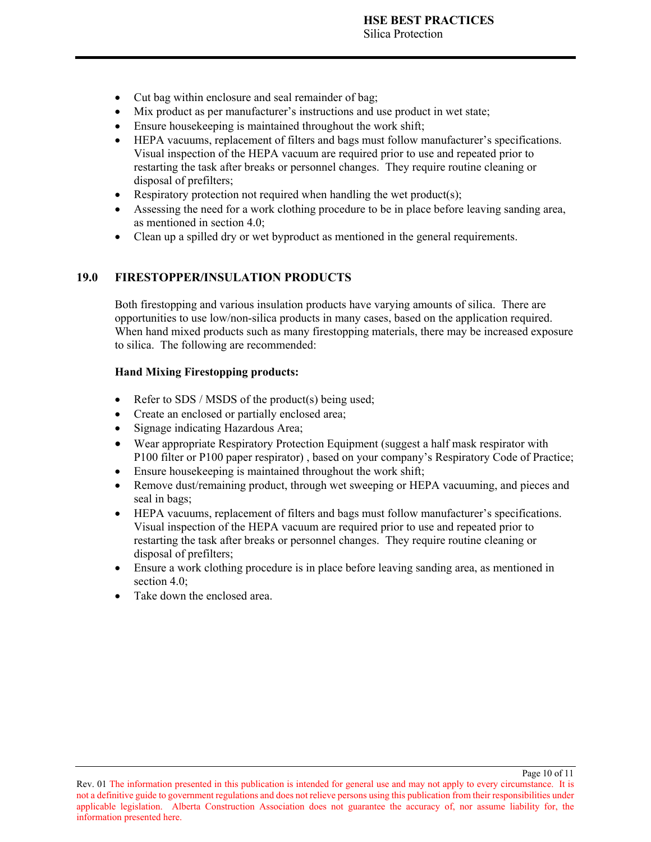- Cut bag within enclosure and seal remainder of bag;
- Mix product as per manufacturer's instructions and use product in wet state;
- Ensure housekeeping is maintained throughout the work shift;
- HEPA vacuums, replacement of filters and bags must follow manufacturer's specifications. Visual inspection of the HEPA vacuum are required prior to use and repeated prior to restarting the task after breaks or personnel changes. They require routine cleaning or disposal of prefilters;
- Respiratory protection not required when handling the wet product(s);
- Assessing the need for a work clothing procedure to be in place before leaving sanding area, as mentioned in section 4.0;
- Clean up a spilled dry or wet byproduct as mentioned in the general requirements.

### **19.0 FIRESTOPPER/INSULATION PRODUCTS**

Both firestopping and various insulation products have varying amounts of silica. There are opportunities to use low/non-silica products in many cases, based on the application required. When hand mixed products such as many firestopping materials, there may be increased exposure to silica. The following are recommended:

#### **Hand Mixing Firestopping products:**

- Refer to SDS / MSDS of the product(s) being used;
- Create an enclosed or partially enclosed area;
- Signage indicating Hazardous Area;
- Wear appropriate Respiratory Protection Equipment (suggest a half mask respirator with P100 filter or P100 paper respirator) , based on your company's Respiratory Code of Practice;
- Ensure housekeeping is maintained throughout the work shift;
- Remove dust/remaining product, through wet sweeping or HEPA vacuuming, and pieces and seal in bags;
- HEPA vacuums, replacement of filters and bags must follow manufacturer's specifications. Visual inspection of the HEPA vacuum are required prior to use and repeated prior to restarting the task after breaks or personnel changes. They require routine cleaning or disposal of prefilters;
- Ensure a work clothing procedure is in place before leaving sanding area, as mentioned in section 4.0:
- Take down the enclosed area.